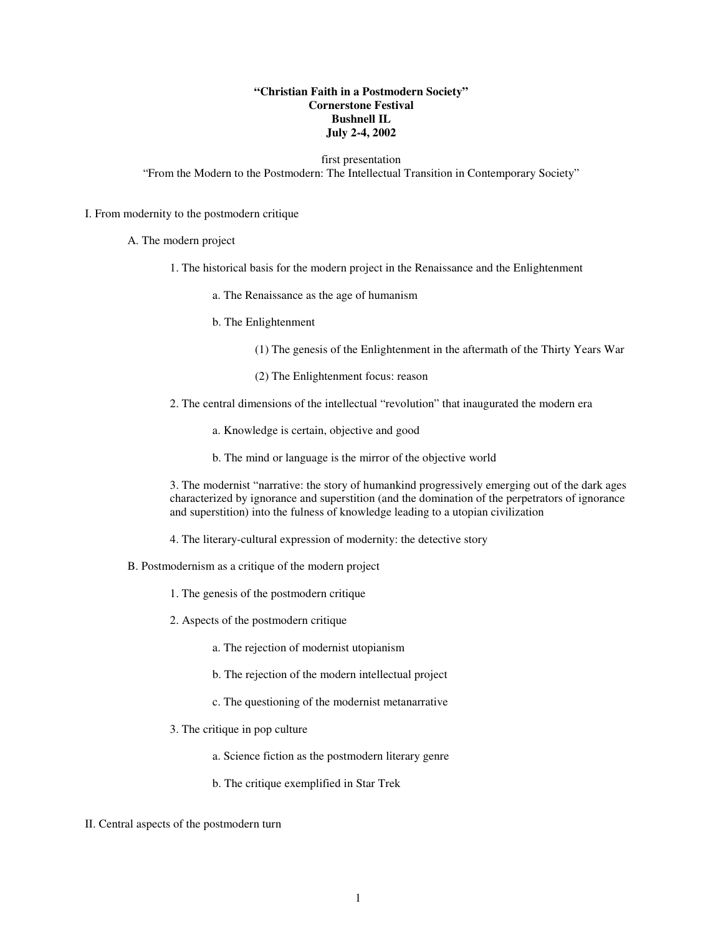## **"Christian Faith in a Postmodern Society" Cornerstone Festival Bushnell IL July 2-4, 2002**

### first presentation

"From the Modern to the Postmodern: The Intellectual Transition in Contemporary Society"

#### I. From modernity to the postmodern critique

- A. The modern project
	- 1. The historical basis for the modern project in the Renaissance and the Enlightenment
		- a. The Renaissance as the age of humanism
		- b. The Enlightenment
			- (1) The genesis of the Enlightenment in the aftermath of the Thirty Years War
			- (2) The Enlightenment focus: reason
	- 2. The central dimensions of the intellectual "revolution" that inaugurated the modern era
		- a. Knowledge is certain, objective and good
		- b. The mind or language is the mirror of the objective world

3. The modernist "narrative: the story of humankind progressively emerging out of the dark ages characterized by ignorance and superstition (and the domination of the perpetrators of ignorance and superstition) into the fulness of knowledge leading to a utopian civilization

- 4. The literary-cultural expression of modernity: the detective story
- B. Postmodernism as a critique of the modern project
	- 1. The genesis of the postmodern critique
	- 2. Aspects of the postmodern critique
		- a. The rejection of modernist utopianism
		- b. The rejection of the modern intellectual project
		- c. The questioning of the modernist metanarrative
	- 3. The critique in pop culture
		- a. Science fiction as the postmodern literary genre
		- b. The critique exemplified in Star Trek
- II. Central aspects of the postmodern turn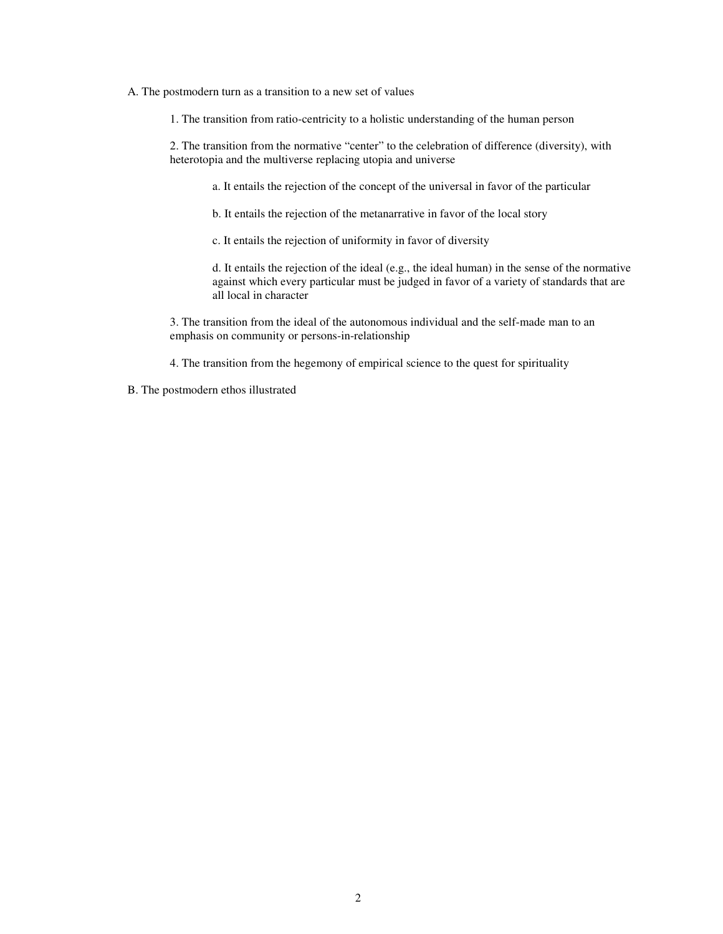#### A. The postmodern turn as a transition to a new set of values

1. The transition from ratio-centricity to a holistic understanding of the human person

2. The transition from the normative "center" to the celebration of difference (diversity), with heterotopia and the multiverse replacing utopia and universe

a. It entails the rejection of the concept of the universal in favor of the particular

b. It entails the rejection of the metanarrative in favor of the local story

c. It entails the rejection of uniformity in favor of diversity

d. It entails the rejection of the ideal (e.g., the ideal human) in the sense of the normative against which every particular must be judged in favor of a variety of standards that are all local in character

3. The transition from the ideal of the autonomous individual and the self-made man to an emphasis on community or persons-in-relationship

4. The transition from the hegemony of empirical science to the quest for spirituality

B. The postmodern ethos illustrated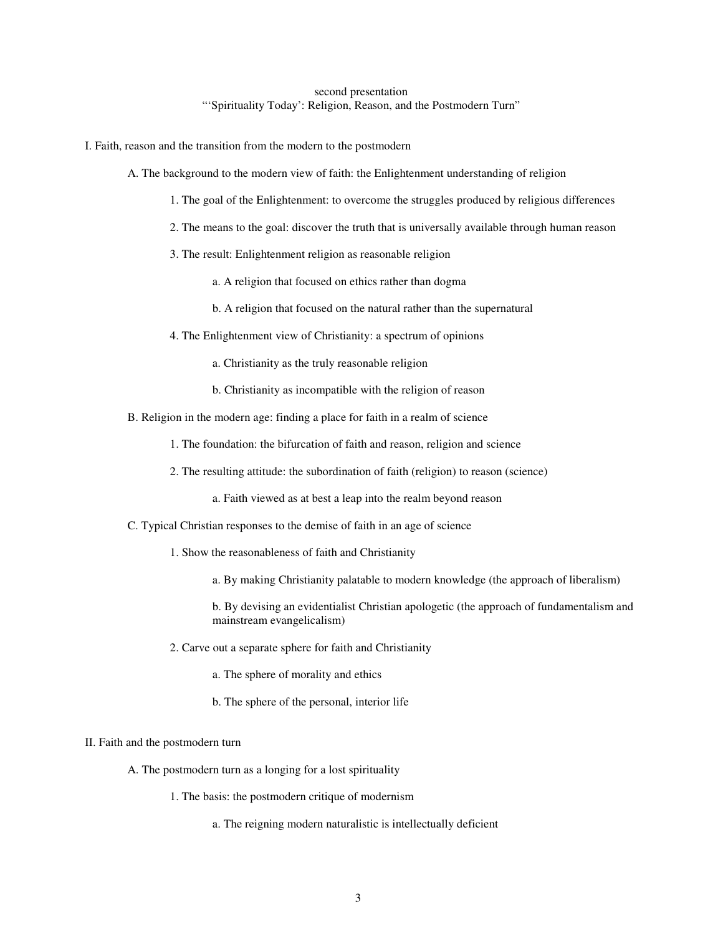# second presentation "'Spirituality Today': Religion, Reason, and the Postmodern Turn"

I. Faith, reason and the transition from the modern to the postmodern

- A. The background to the modern view of faith: the Enlightenment understanding of religion
	- 1. The goal of the Enlightenment: to overcome the struggles produced by religious differences
	- 2. The means to the goal: discover the truth that is universally available through human reason
	- 3. The result: Enlightenment religion as reasonable religion
		- a. A religion that focused on ethics rather than dogma
		- b. A religion that focused on the natural rather than the supernatural
	- 4. The Enlightenment view of Christianity: a spectrum of opinions
		- a. Christianity as the truly reasonable religion
		- b. Christianity as incompatible with the religion of reason
- B. Religion in the modern age: finding a place for faith in a realm of science
	- 1. The foundation: the bifurcation of faith and reason, religion and science
	- 2. The resulting attitude: the subordination of faith (religion) to reason (science)
		- a. Faith viewed as at best a leap into the realm beyond reason
- C. Typical Christian responses to the demise of faith in an age of science
	- 1. Show the reasonableness of faith and Christianity
		- a. By making Christianity palatable to modern knowledge (the approach of liberalism)

b. By devising an evidentialist Christian apologetic (the approach of fundamentalism and mainstream evangelicalism)

- 2. Carve out a separate sphere for faith and Christianity
	- a. The sphere of morality and ethics
	- b. The sphere of the personal, interior life

### II. Faith and the postmodern turn

- A. The postmodern turn as a longing for a lost spirituality
	- 1. The basis: the postmodern critique of modernism
		- a. The reigning modern naturalistic is intellectually deficient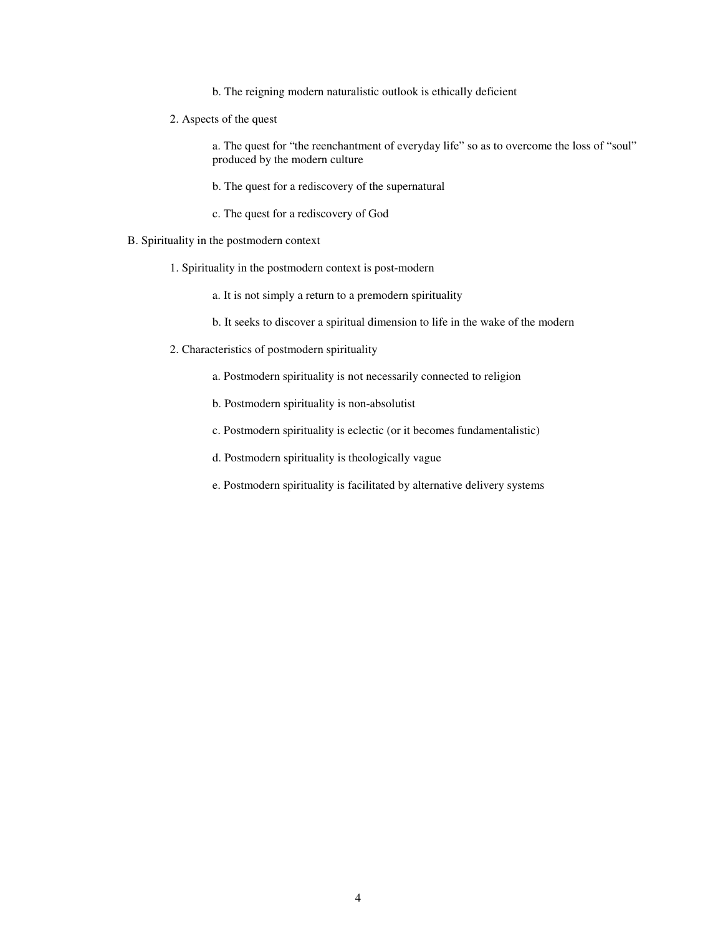- b. The reigning modern naturalistic outlook is ethically deficient
- 2. Aspects of the quest

a. The quest for "the reenchantment of everyday life" so as to overcome the loss of "soul" produced by the modern culture

b. The quest for a rediscovery of the supernatural

- c. The quest for a rediscovery of God
- B. Spirituality in the postmodern context
	- 1. Spirituality in the postmodern context is post-modern
		- a. It is not simply a return to a premodern spirituality
		- b. It seeks to discover a spiritual dimension to life in the wake of the modern
	- 2. Characteristics of postmodern spirituality
		- a. Postmodern spirituality is not necessarily connected to religion
		- b. Postmodern spirituality is non-absolutist
		- c. Postmodern spirituality is eclectic (or it becomes fundamentalistic)
		- d. Postmodern spirituality is theologically vague
		- e. Postmodern spirituality is facilitated by alternative delivery systems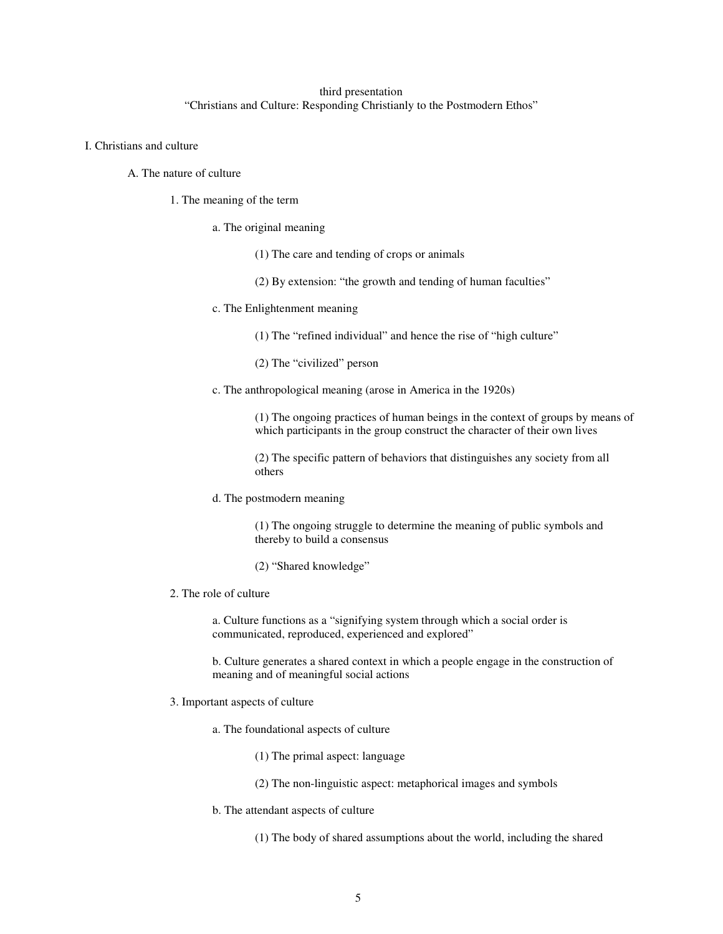# third presentation "Christians and Culture: Responding Christianly to the Postmodern Ethos"

- I. Christians and culture
	- A. The nature of culture
		- 1. The meaning of the term
			- a. The original meaning
				- (1) The care and tending of crops or animals
				- (2) By extension: "the growth and tending of human faculties"
			- c. The Enlightenment meaning
				- (1) The "refined individual" and hence the rise of "high culture"
				- (2) The "civilized" person
			- c. The anthropological meaning (arose in America in the 1920s)

(1) The ongoing practices of human beings in the context of groups by means of which participants in the group construct the character of their own lives

(2) The specific pattern of behaviors that distinguishes any society from all others

d. The postmodern meaning

(1) The ongoing struggle to determine the meaning of public symbols and thereby to build a consensus

- (2) "Shared knowledge"
- 2. The role of culture

a. Culture functions as a "signifying system through which a social order is communicated, reproduced, experienced and explored"

b. Culture generates a shared context in which a people engage in the construction of meaning and of meaningful social actions

- 3. Important aspects of culture
	- a. The foundational aspects of culture
		- (1) The primal aspect: language
		- (2) The non-linguistic aspect: metaphorical images and symbols
	- b. The attendant aspects of culture

(1) The body of shared assumptions about the world, including the shared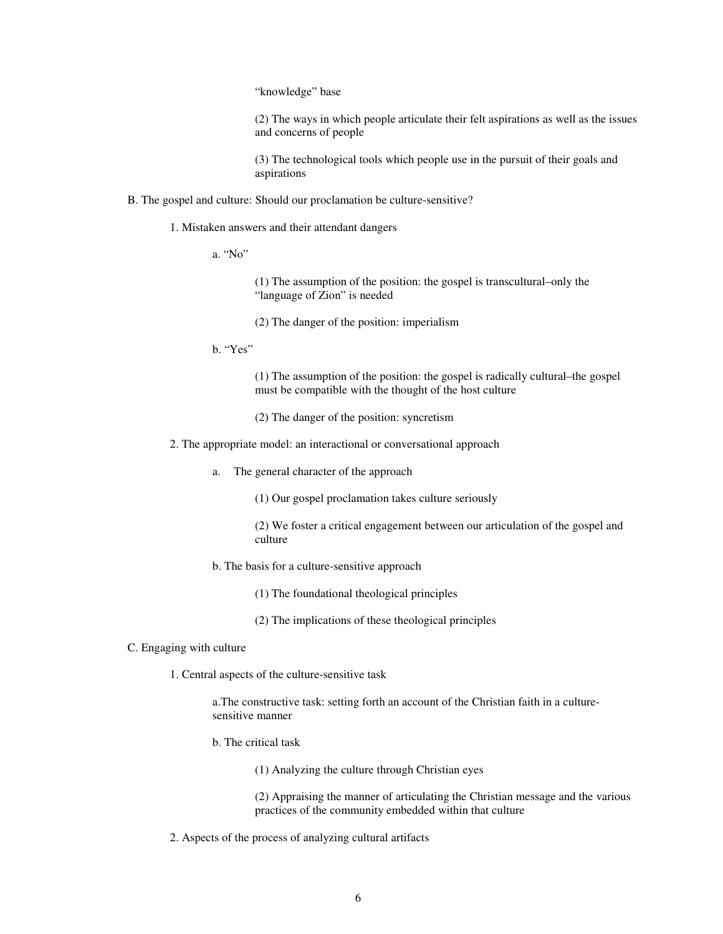"knowledge" base

(2) The ways in which people articulate their felt aspirations as well as the issues and concerns of people

(3) The technological tools which people use in the pursuit of their goals and aspirations

- B. The gospel and culture: Should our proclamation be culture-sensitive?
	- 1. Mistaken answers and their attendant dangers
		- a. "No"

(1) The assumption of the position: the gospel is transcultural–only the "language of Zion" is needed

- (2) The danger of the position: imperialism
- b. "Yes"

(1) The assumption of the position: the gospel is radically cultural–the gospel must be compatible with the thought of the host culture

- (2) The danger of the position: syncretism
- 2. The appropriate model: an interactional or conversational approach
	- a. The general character of the approach

(1) Our gospel proclamation takes culture seriously

(2) We foster a critical engagement between our articulation of the gospel and culture

- b. The basis for a culture-sensitive approach
	- (1) The foundational theological principles
	- (2) The implications of these theological principles
- C. Engaging with culture
	- 1. Central aspects of the culture-sensitive task

a.The constructive task: setting forth an account of the Christian faith in a culturesensitive manner

- b. The critical task
	- (1) Analyzing the culture through Christian eyes

(2) Appraising the manner of articulating the Christian message and the various practices of the community embedded within that culture

2. Aspects of the process of analyzing cultural artifacts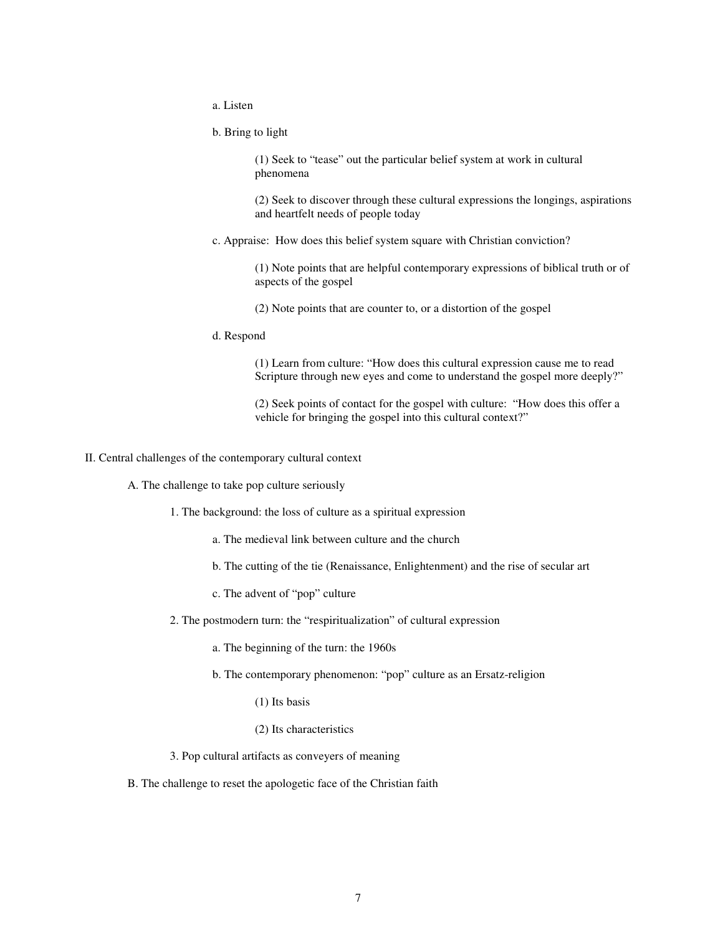a. Listen

b. Bring to light

(1) Seek to "tease" out the particular belief system at work in cultural phenomena

(2) Seek to discover through these cultural expressions the longings, aspirations and heartfelt needs of people today

c. Appraise: How does this belief system square with Christian conviction?

(1) Note points that are helpful contemporary expressions of biblical truth or of aspects of the gospel

(2) Note points that are counter to, or a distortion of the gospel

d. Respond

(1) Learn from culture: "How does this cultural expression cause me to read Scripture through new eyes and come to understand the gospel more deeply?"

(2) Seek points of contact for the gospel with culture: "How does this offer a vehicle for bringing the gospel into this cultural context?"

II. Central challenges of the contemporary cultural context

- A. The challenge to take pop culture seriously
	- 1. The background: the loss of culture as a spiritual expression
		- a. The medieval link between culture and the church
		- b. The cutting of the tie (Renaissance, Enlightenment) and the rise of secular art
		- c. The advent of "pop" culture
	- 2. The postmodern turn: the "respiritualization" of cultural expression
		- a. The beginning of the turn: the 1960s
		- b. The contemporary phenomenon: "pop" culture as an Ersatz-religion
			- (1) Its basis
			- (2) Its characteristics
	- 3. Pop cultural artifacts as conveyers of meaning

B. The challenge to reset the apologetic face of the Christian faith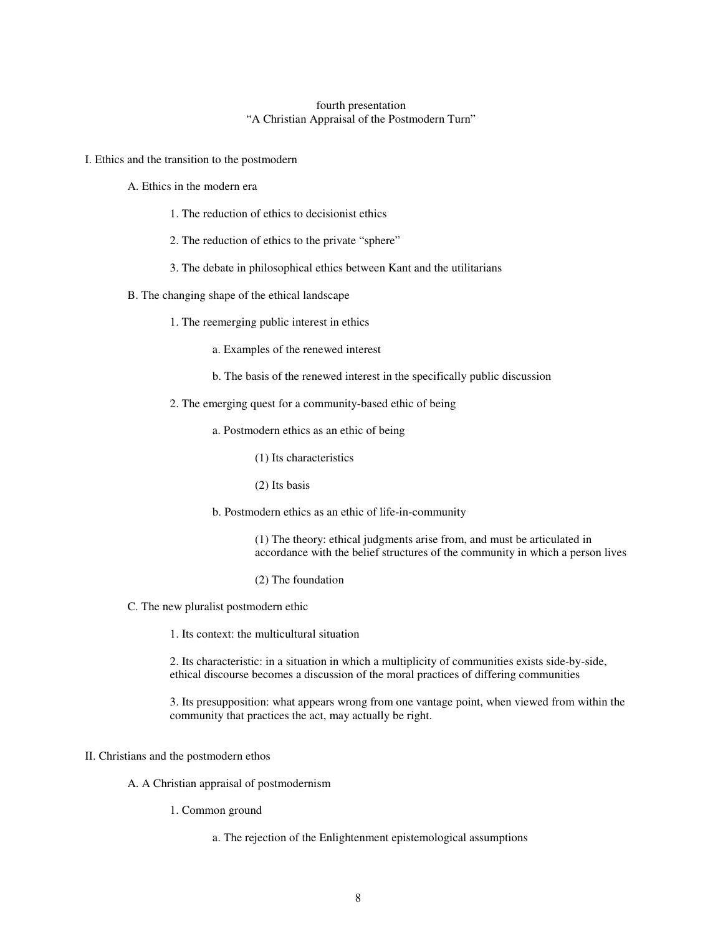### fourth presentation "A Christian Appraisal of the Postmodern Turn"

I. Ethics and the transition to the postmodern

A. Ethics in the modern era

- 1. The reduction of ethics to decisionist ethics
- 2. The reduction of ethics to the private "sphere"
- 3. The debate in philosophical ethics between Kant and the utilitarians
- B. The changing shape of the ethical landscape
	- 1. The reemerging public interest in ethics
		- a. Examples of the renewed interest
		- b. The basis of the renewed interest in the specifically public discussion
	- 2. The emerging quest for a community-based ethic of being
		- a. Postmodern ethics as an ethic of being
			- (1) Its characteristics
			- (2) Its basis

b. Postmodern ethics as an ethic of life-in-community

(1) The theory: ethical judgments arise from, and must be articulated in accordance with the belief structures of the community in which a person lives

- (2) The foundation
- C. The new pluralist postmodern ethic
	- 1. Its context: the multicultural situation

2. Its characteristic: in a situation in which a multiplicity of communities exists side-by-side, ethical discourse becomes a discussion of the moral practices of differing communities

3. Its presupposition: what appears wrong from one vantage point, when viewed from within the community that practices the act, may actually be right.

### II. Christians and the postmodern ethos

A. A Christian appraisal of postmodernism

- 1. Common ground
	- a. The rejection of the Enlightenment epistemological assumptions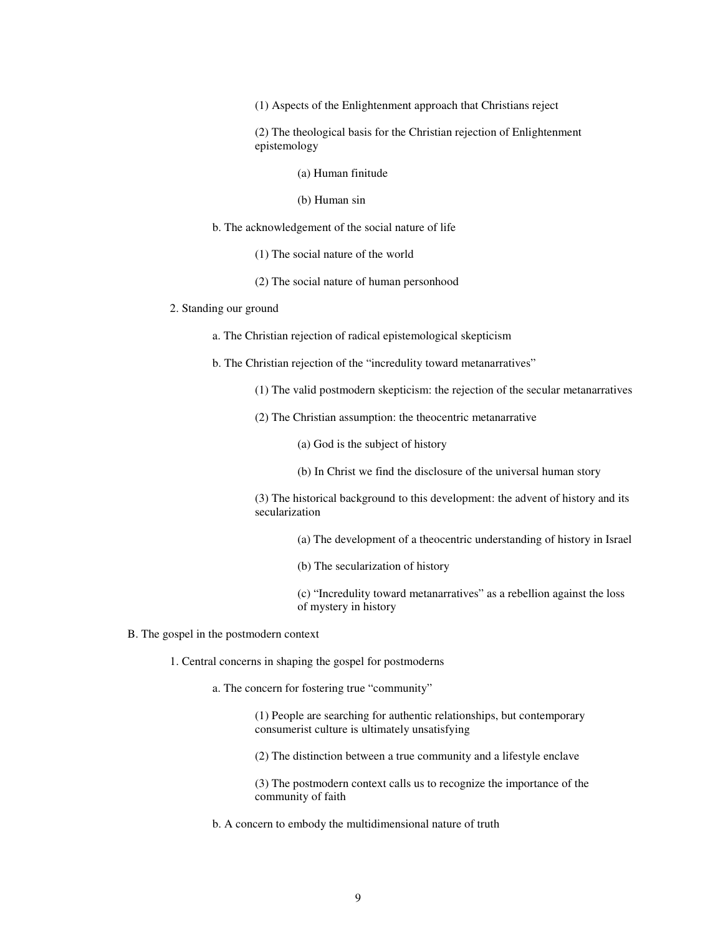(1) Aspects of the Enlightenment approach that Christians reject

(2) The theological basis for the Christian rejection of Enlightenment epistemology

(a) Human finitude

- (b) Human sin
- b. The acknowledgement of the social nature of life
	- (1) The social nature of the world
	- (2) The social nature of human personhood

#### 2. Standing our ground

a. The Christian rejection of radical epistemological skepticism

b. The Christian rejection of the "incredulity toward metanarratives"

- (1) The valid postmodern skepticism: the rejection of the secular metanarratives
- (2) The Christian assumption: the theocentric metanarrative

(a) God is the subject of history

(b) In Christ we find the disclosure of the universal human story

(3) The historical background to this development: the advent of history and its secularization

- (a) The development of a theocentric understanding of history in Israel
- (b) The secularization of history

(c) "Incredulity toward metanarratives" as a rebellion against the loss of mystery in history

- B. The gospel in the postmodern context
	- 1. Central concerns in shaping the gospel for postmoderns
		- a. The concern for fostering true "community"

(1) People are searching for authentic relationships, but contemporary consumerist culture is ultimately unsatisfying

(2) The distinction between a true community and a lifestyle enclave

(3) The postmodern context calls us to recognize the importance of the community of faith

b. A concern to embody the multidimensional nature of truth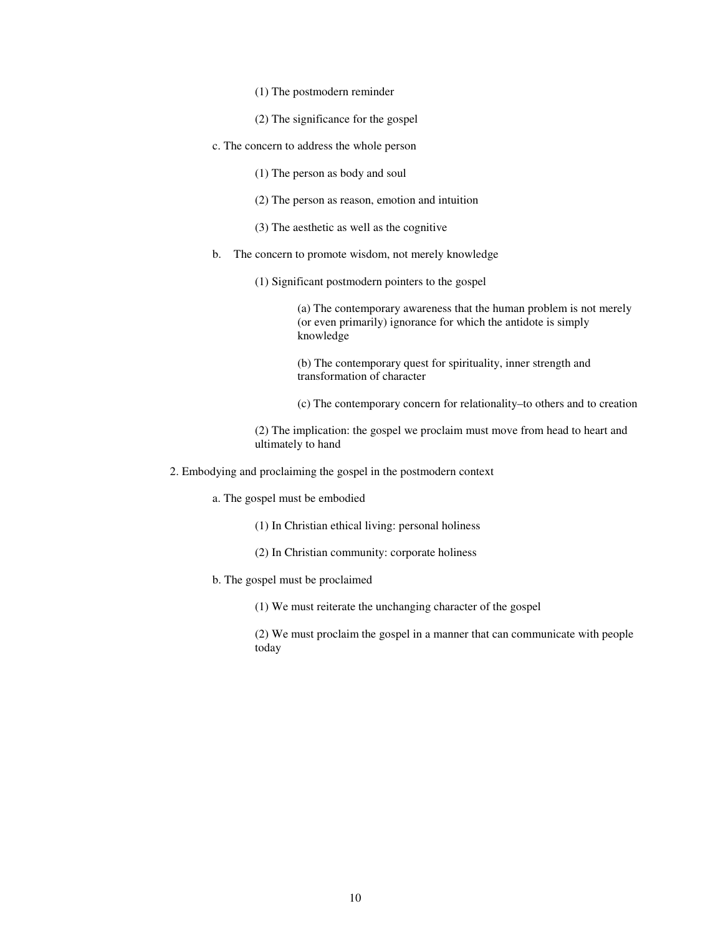- (1) The postmodern reminder
- (2) The significance for the gospel
- c. The concern to address the whole person
	- (1) The person as body and soul
	- (2) The person as reason, emotion and intuition
	- (3) The aesthetic as well as the cognitive
- b. The concern to promote wisdom, not merely knowledge
	- (1) Significant postmodern pointers to the gospel

(a) The contemporary awareness that the human problem is not merely (or even primarily) ignorance for which the antidote is simply knowledge

(b) The contemporary quest for spirituality, inner strength and transformation of character

(c) The contemporary concern for relationality–to others and to creation

(2) The implication: the gospel we proclaim must move from head to heart and ultimately to hand

- 2. Embodying and proclaiming the gospel in the postmodern context
	- a. The gospel must be embodied
		- (1) In Christian ethical living: personal holiness
		- (2) In Christian community: corporate holiness
	- b. The gospel must be proclaimed

(1) We must reiterate the unchanging character of the gospel

(2) We must proclaim the gospel in a manner that can communicate with people today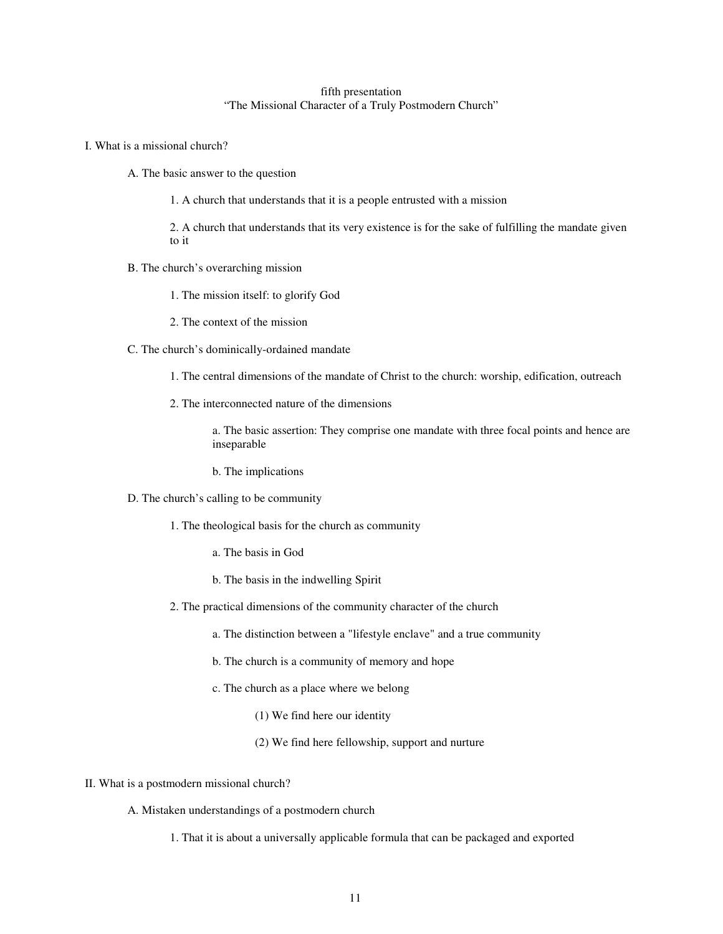# fifth presentation "The Missional Character of a Truly Postmodern Church"

- I. What is a missional church?
	- A. The basic answer to the question
		- 1. A church that understands that it is a people entrusted with a mission

2. A church that understands that its very existence is for the sake of fulfilling the mandate given to it

- B. The church's overarching mission
	- 1. The mission itself: to glorify God
	- 2. The context of the mission
- C. The church's dominically-ordained mandate
	- 1. The central dimensions of the mandate of Christ to the church: worship, edification, outreach
	- 2. The interconnected nature of the dimensions

a. The basic assertion: They comprise one mandate with three focal points and hence are inseparable

b. The implications

- D. The church's calling to be community
	- 1. The theological basis for the church as community
		- a. The basis in God
		- b. The basis in the indwelling Spirit
	- 2. The practical dimensions of the community character of the church
		- a. The distinction between a "lifestyle enclave" and a true community
		- b. The church is a community of memory and hope
		- c. The church as a place where we belong
			- (1) We find here our identity
			- (2) We find here fellowship, support and nurture
- II. What is a postmodern missional church?

A. Mistaken understandings of a postmodern church

1. That it is about a universally applicable formula that can be packaged and exported